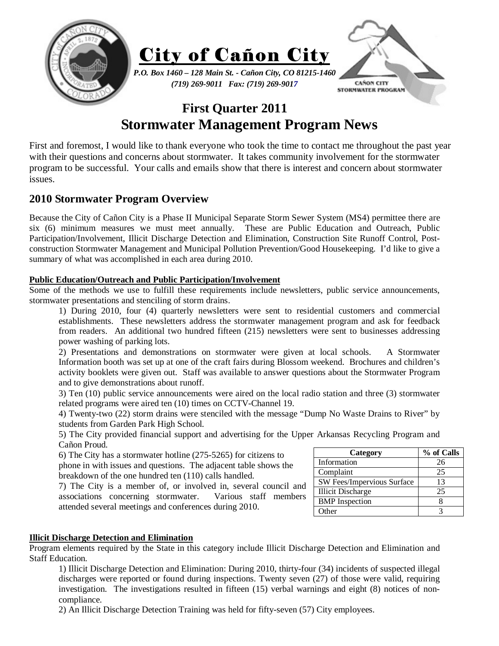

# **First Quarter 2011 Stormwater Management Program News**

First and foremost, I would like to thank everyone who took the time to contact me throughout the past year with their questions and concerns about stormwater. It takes community involvement for the stormwater program to be successful. Your calls and emails show that there is interest and concern about stormwater issues.

# **2010 Stormwater Program Overview**

Because the City of Cañon City is a Phase II Municipal Separate Storm Sewer System (MS4) permittee there are six (6) minimum measures we must meet annually. These are Public Education and Outreach, Public Participation/Involvement, Illicit Discharge Detection and Elimination, Construction Site Runoff Control, Postconstruction Stormwater Management and Municipal Pollution Prevention/Good Housekeeping. I'd like to give a summary of what was accomplished in each area during 2010.

## **Public Education/Outreach and Public Participation/Involvement**

Some of the methods we use to fulfill these requirements include newsletters, public service announcements, stormwater presentations and stenciling of storm drains.

1) During 2010, four (4) quarterly newsletters were sent to residential customers and commercial establishments. These newsletters address the stormwater management program and ask for feedback from readers. An additional two hundred fifteen (215) newsletters were sent to businesses addressing power washing of parking lots.

2) Presentations and demonstrations on stormwater were given at local schools. A Stormwater Information booth was set up at one of the craft fairs during Blossom weekend. Brochures and children's activity booklets were given out. Staff was available to answer questions about the Stormwater Program and to give demonstrations about runoff.

3) Ten (10) public service announcements were aired on the local radio station and three (3) stormwater related programs were aired ten (10) times on CCTV-Channel 19.

4) Twenty-two (22) storm drains were stenciled with the message "Dump No Waste Drains to River" by students from Garden Park High School.

5) The City provided financial support and advertising for the Upper Arkansas Recycling Program and Cañon Proud.

6) The City has a stormwater hotline (275-5265) for citizens to phone in with issues and questions. The adjacent table shows the breakdown of the one hundred ten (110) calls handled.

7) The City is a member of, or involved in, several council and associations concerning stormwater. Various staff members attended several meetings and conferences during 2010.

| Category                   | % of Calls |
|----------------------------|------------|
| Information                | 26         |
| Complaint                  | 25         |
| SW Fees/Impervious Surface | 13         |
| <b>Illicit Discharge</b>   | 25         |
| <b>BMP</b> Inspection      |            |
| Other                      |            |

#### **Illicit Discharge Detection and Elimination**

Program elements required by the State in this category include Illicit Discharge Detection and Elimination and Staff Education.

1) Illicit Discharge Detection and Elimination: During 2010, thirty-four (34) incidents of suspected illegal discharges were reported or found during inspections. Twenty seven (27) of those were valid, requiring investigation. The investigations resulted in fifteen (15) verbal warnings and eight (8) notices of noncompliance.

2) An Illicit Discharge Detection Training was held for fifty-seven (57) City employees.